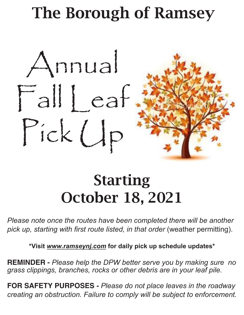# The Borough of Ramsey



## Starting October 18, 2021

*Please note once the routes have been completed there will be another pick up, starting with first route listed, in that order* (weather permitting).

**\*Visit** *www.ramseynj.com* **for daily pick up schedule updates\***

**REMINDER -** *Please help the DPW better serve you by making sure no grass clippings, branches, rocks or other debris are in your leaf pile.*

**FOR SAFETY PURPOSES -** *Please do not place leaves in the roadway creating an obstruction. Failure to comply will be subject to enforcement.*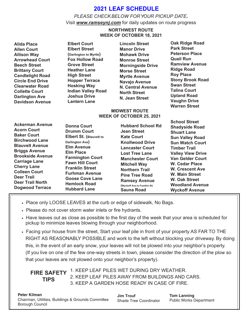## **2021 LEAF SCHEDULE**

*PLEASE CHECKBELOW FOR YOUR PICKUP DATE***.** Visit *www.ramseynj.com* for daily updates on route progress

### **NORTHWEST ROUTE WEEK OF OCTOBER 18, 2021**

| <b>Alida Place</b><br><b>Allen Court</b><br><b>Allison Way</b><br><b>Arrowhead Court</b><br><b>Beech Street</b><br><b>Brittany Court</b><br><b>Candlelight Road</b><br><b>Circle End Drive</b><br><b>Clearwater Road</b><br><b>Collette Court</b><br><b>Darlington Ave</b><br><b>Davidson Avenue</b>                     | <b>Elbert Court</b><br><b>Elbert Street</b><br>(Darlington to Myrtle)<br><b>Fox Hollow Road</b><br><b>Grove Street</b><br><b>Heather Lane</b><br><b>High Street</b><br><b>Hopper Terrace</b><br><b>Hosking Way</b><br><b>Indian Valley Road</b><br><b>Joshua Drive</b><br><b>Lantern Lane</b>                   | <b>Lincoln Street</b><br><b>Manor Drive</b><br><b>Mohawk Drive</b><br><b>Monroe Street</b><br><b>Morningside Drive</b><br><b>Morse Street</b><br><b>Myrtle Avenue</b><br>Navajo Avenue<br><b>N. Central Avenue</b><br><b>North Street</b><br>N. Jean Street<br><b>MIDWEST ROUTE</b>                                                                                  | <b>Oak Ridge Road</b><br><b>Park Street</b><br><b>Peterson Place</b><br><b>Quail Run</b><br><b>Ramview Avenue</b><br><b>Ridge Road</b><br><b>Roy Place</b><br><b>Stony Brook Road</b><br><b>Swan Street</b><br><b>Talina Court</b><br><b>Upland Road</b><br><b>Vaughn Drive</b><br><b>Warren Street</b>                                                      |
|--------------------------------------------------------------------------------------------------------------------------------------------------------------------------------------------------------------------------------------------------------------------------------------------------------------------------|-----------------------------------------------------------------------------------------------------------------------------------------------------------------------------------------------------------------------------------------------------------------------------------------------------------------|----------------------------------------------------------------------------------------------------------------------------------------------------------------------------------------------------------------------------------------------------------------------------------------------------------------------------------------------------------------------|--------------------------------------------------------------------------------------------------------------------------------------------------------------------------------------------------------------------------------------------------------------------------------------------------------------------------------------------------------------|
| <b>Ackerman Avenue</b><br><b>Acorn Court</b><br><b>Baker Court</b><br><b>Birchwood Lane</b><br><b>Blauvelt Avenue</b><br><b>Briggs Avenue</b><br><b>Brookside Avenue</b><br><b>Carriage Lane</b><br><b>Cherry Lane</b><br><b>Colleen Court</b><br><b>Deer Trail</b><br><b>Deer Trail North</b><br><b>Dogwood Terrace</b> | <b>Donna Court</b><br><b>Drumm Court</b><br>Elbert St. (Blauvelt to<br>Darlington Ave)<br><b>Elm Avenue</b><br><b>Elm Place</b><br><b>Farmington Court</b><br><b>Fawn Hill Court</b><br><b>Franklin Street</b><br><b>Furhman Avenue</b><br><b>Goose Cove Lane</b><br><b>Hemlock Road</b><br><b>Hubbard Lane</b> | <b>WEEK OF OCTOBER 25, 2021</b><br><b>Hubbard School Rd</b><br><b>Jean Street</b><br><b>Kate Court</b><br><b>Knollwood Drive</b><br><b>Lancaster Court</b><br><b>Lost Tree Lane</b><br><b>Manchester Court</b><br><b>Mitchell Way</b><br><b>Northern Trail</b><br><b>Pine Tree Road</b><br><b>Ramsey Avenue</b><br>(Wyckoff Ave to Franklin St)<br><b>Sauna Road</b> | <b>School Street</b><br><b>Shadyside Road</b><br><b>Shuart Lane</b><br><b>Sun Valley Road</b><br><b>Sun Watch Court</b><br><b>Timber Trail</b><br><b>Valley View Drive</b><br><b>Van Gelder Court</b><br><b>W. Cedar Place</b><br><b>W. Crescent Ave</b><br><b>W. Main Street</b><br><b>W. Oak Street</b><br><b>Woodland Avenue</b><br><b>Wyckoff Avenue</b> |

- Place only LOOSE LEAVES at the curb or edge of sidewalk, No Bags.
- Please do not cover storm water inlets or fire hydrants.
- Have leaves out as close as possible to the first day of the week that your area is scheduled for pickup to minimize leaves blowing through your neighborhood.
- Facing your house from the street, Start your leaf pile in front of your property AS FAR TO THE RIGHT AS REASONABLY POSSIBLE and work to the left without blocking your driveway. By doing this, in the event of an early snow, your leaves will not be plowed into your neighbor's property. (If you live on one of the few one-way streets in town, please consider the direction of the plow so that your leaves are not plowed onto your neighbor's property).

**FIRE SAFETY** 1. KEEP LEAF PILES WET DURING DRY WEATHER. 2. KEEP LEAF PILES AWAY FROM BUILDINGS AND CARS. 3. KEEP A GARDEN HOSE READY IN CASE OF FIRE. **TIPS**

**Jim Trouf** Shade Tree Coordinator

**Tom Lanning** Public Works Department